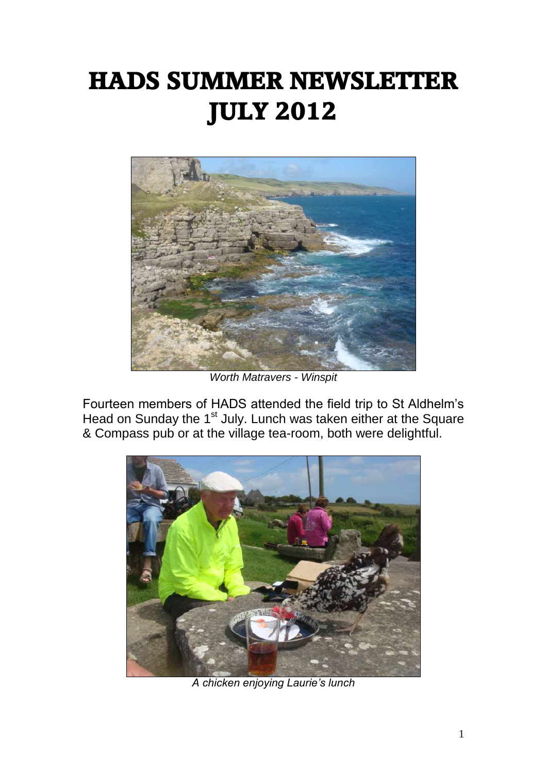# **HADS SUMMER NEWSLETTER JULY 2012**



*Worth Matravers - Winspit*

Fourteen members of HADS attended the field trip to St Aldhelm's Head on Sunday the 1<sup>st</sup> July. Lunch was taken either at the Square & Compass pub or at the village tea-room, both were delightful.



*A chicken enjoying Laurie's lunch*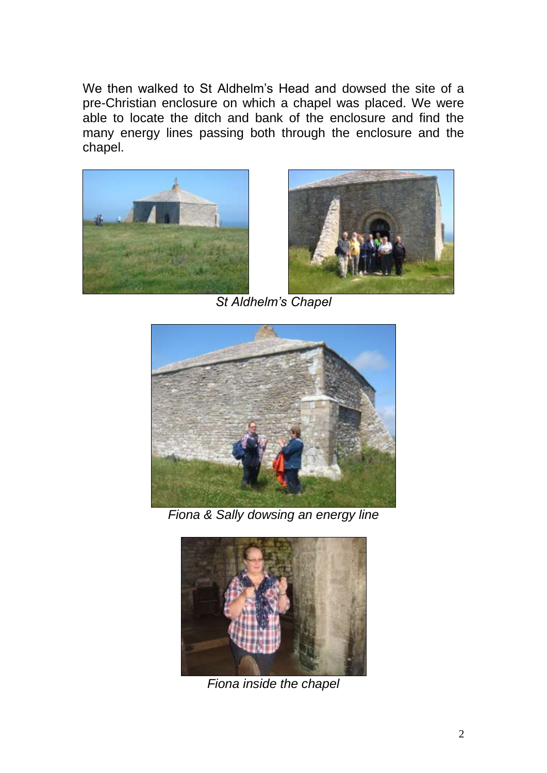We then walked to St Aldhelm's Head and dowsed the site of a pre-Christian enclosure on which a chapel was placed. We were able to locate the ditch and bank of the enclosure and find the many energy lines passing both through the enclosure and the chapel.





*St Aldhelm's Chapel*



*Fiona & Sally dowsing an energy line*



*Fiona inside the chapel*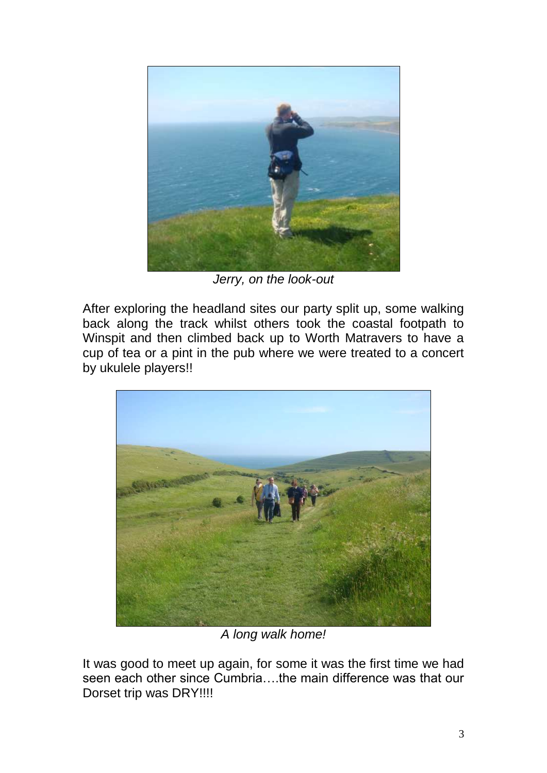

*Jerry, on the look-out*

After exploring the headland sites our party split up, some walking back along the track whilst others took the coastal footpath to Winspit and then climbed back up to Worth Matravers to have a cup of tea or a pint in the pub where we were treated to a concert by ukulele players!!



*A long walk home!*

It was good to meet up again, for some it was the first time we had seen each other since Cumbria….the main difference was that our Dorset trip was DRY!!!!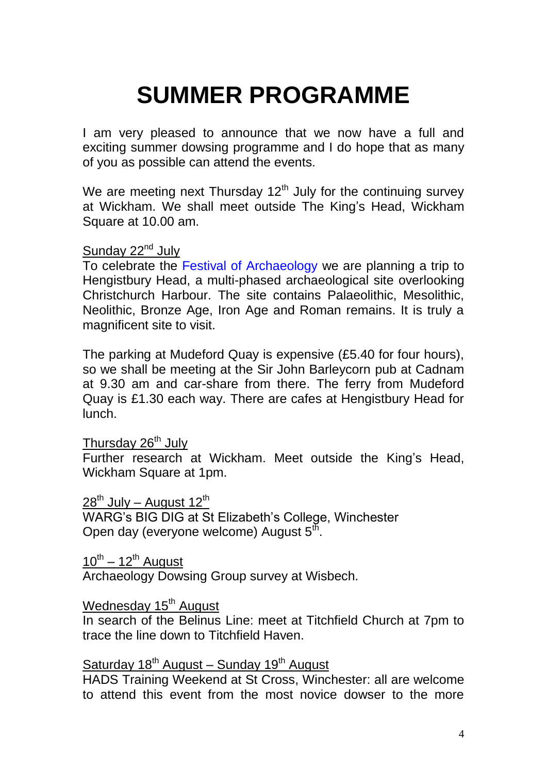## **SUMMER PROGRAMME**

I am very pleased to announce that we now have a full and exciting summer dowsing programme and I do hope that as many of you as possible can attend the events.

We are meeting next Thursday  $12<sup>th</sup>$  July for the continuing survey at Wickham. We shall meet outside The King's Head, Wickham Square at 10.00 am.

## Sunday 22<sup>nd</sup> July

To celebrate the Festival of Archaeology we are planning a trip to Hengistbury Head, a multi-phased archaeological site overlooking Christchurch Harbour. The site contains Palaeolithic, Mesolithic, Neolithic, Bronze Age, Iron Age and Roman remains. It is truly a magnificent site to visit.

The parking at Mudeford Quay is expensive (£5.40 for four hours), so we shall be meeting at the Sir John Barleycorn pub at Cadnam at 9.30 am and car-share from there. The ferry from Mudeford Quay is £1.30 each way. There are cafes at Hengistbury Head for lunch.

Thursday 26<sup>th</sup> July

Further research at Wickham. Meet outside the King's Head, Wickham Square at 1pm.

 $28^{th}$  July – August 12<sup>th</sup>

WARG's BIG DIG at St Elizabeth's College, Winchester Open day (everyone welcome) August 5<sup>th</sup>.

10<sup>th</sup> – 12<sup>th</sup> August

Archaeology Dowsing Group survey at Wisbech.

### <u>Wednesday 15<sup>th</sup> August</u>

In search of the Belinus Line: meet at Titchfield Church at 7pm to trace the line down to Titchfield Haven.

## Saturday 18<sup>th</sup> August – Sunday 19<sup>th</sup> August

HADS Training Weekend at St Cross, Winchester: all are welcome to attend this event from the most novice dowser to the more